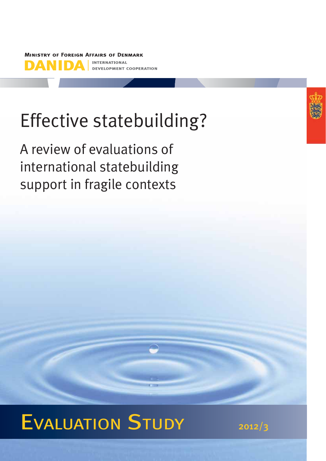**MINISTRY OF FOREIGN AFFAIRS OF DENMARK INTERNATIONAL** D **ELOPMENT COOPERATION** 

# Effective statebuilding?

A review of evaluations of international statebuilding support in fragile contexts



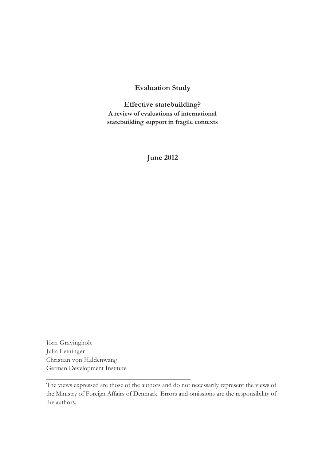## **Evaluation Study**

**Effective statebuilding? A review of evaluations of international statebuilding support in fragile contexts**

**June 2012** 

Jörn Grävingholt Julia Leininger Christian von Haldenwang German Development Institute

\_\_\_\_\_\_\_\_\_\_\_\_\_\_\_\_\_\_\_\_\_\_\_\_\_\_\_\_\_\_\_\_\_\_\_\_\_\_\_\_\_\_\_\_

The views expressed are those of the authors and do not necessarily represent the views of the Ministry of Foreign Affairs of Denmark. Errors and omissions are the responsibility of the authors.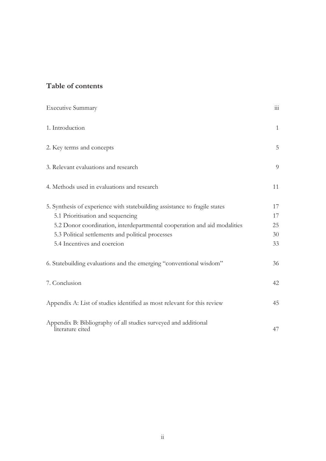# **Table of contents**

| <b>Executive Summary</b>                                                                                        | 111          |
|-----------------------------------------------------------------------------------------------------------------|--------------|
| 1. Introduction                                                                                                 | $\mathbf{1}$ |
| 2. Key terms and concepts                                                                                       | 5            |
| 3. Relevant evaluations and research                                                                            | 9            |
| 4. Methods used in evaluations and research                                                                     | 11           |
| 5. Synthesis of experience with statebuilding assistance to fragile states<br>5.1 Prioritisation and sequencing | 17<br>17     |
| 5.2 Donor coordination, interdepartmental cooperation and aid modalities                                        | 25           |
| 5.3 Political settlements and political processes                                                               | 30           |
| 5.4 Incentives and coercion                                                                                     | 33           |
| 6. Statebuilding evaluations and the emerging "conventional wisdom"                                             | 36           |
| 7. Conclusion                                                                                                   | 42           |
| Appendix A: List of studies identified as most relevant for this review                                         | 45           |
| Appendix B: Bibliography of all studies surveyed and additional<br>literature cited                             | 47           |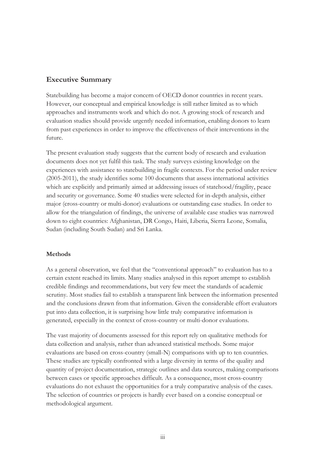## **Executive Summary**

Statebuilding has become a major concern of OECD donor countries in recent years. However, our conceptual and empirical knowledge is still rather limited as to which approaches and instruments work and which do not. A growing stock of research and evaluation studies should provide urgently needed information, enabling donors to learn from past experiences in order to improve the effectiveness of their interventions in the future.

The present evaluation study suggests that the current body of research and evaluation documents does not yet fulfil this task. The study surveys existing knowledge on the experiences with assistance to statebuilding in fragile contexts. For the period under review (2005-2011), the study identifies some 100 documents that assess international activities which are explicitly and primarily aimed at addressing issues of statehood/fragility, peace and security or governance. Some 40 studies were selected for in-depth analysis, either major (cross-country or multi-donor) evaluations or outstanding case studies. In order to allow for the triangulation of findings, the universe of available case studies was narrowed down to eight countries: Afghanistan, DR Congo, Haiti, Liberia, Sierra Leone, Somalia, Sudan (including South Sudan) and Sri Lanka.

### **Methods**

As a general observation, we feel that the "conventional approach" to evaluation has to a certain extent reached its limits. Many studies analysed in this report attempt to establish credible findings and recommendations, but very few meet the standards of academic scrutiny. Most studies fail to establish a transparent link between the information presented and the conclusions drawn from that information. Given the considerable effort evaluators put into data collection, it is surprising how little truly comparative information is generated, especially in the context of cross-country or multi-donor evaluations.

The vast majority of documents assessed for this report rely on qualitative methods for data collection and analysis, rather than advanced statistical methods. Some major evaluations are based on cross-country (small-N) comparisons with up to ten countries. These studies are typically confronted with a large diversity in terms of the quality and quantity of project documentation, strategic outlines and data sources, making comparisons between cases or specific approaches difficult. As a consequence, most cross-country evaluations do not exhaust the opportunities for a truly comparative analysis of the cases. The selection of countries or projects is hardly ever based on a concise conceptual or methodological argument.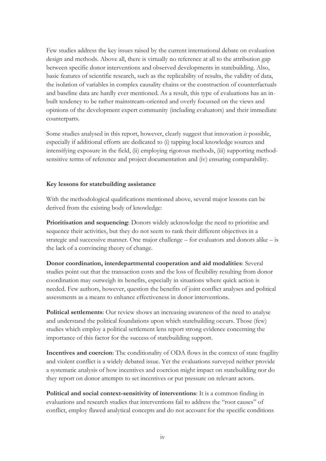Few studies address the key issues raised by the current international debate on evaluation design and methods. Above all, there is virtually no reference at all to the attribution gap between specific donor interventions and observed developments in statebuilding. Also, basic features of scientific research, such as the replicability of results, the validity of data, the isolation of variables in complex causality chains or the construction of counterfactuals and baseline data are hardly ever mentioned. As a result, this type of evaluations has an inbuilt tendency to be rather mainstream-oriented and overly focussed on the views and opinions of the development expert community (including evaluators) and their immediate counterparts.

Some studies analysed in this report, however, clearly suggest that innovation *is* possible, especially if additional efforts are dedicated to (i) tapping local knowledge sources and intensifying exposure in the field, (ii) employing rigorous methods, (iii) supporting methodsensitive terms of reference and project documentation and (iv) ensuring comparability.

### **Key lessons for statebuilding assistance**

With the methodological qualifications mentioned above, several major lessons can be derived from the existing body of knowledge:

**Prioritisation and sequencing**: Donors widely acknowledge the need to prioritise and sequence their activities, but they do not seem to rank their different objectives in a strategic and successive manner. One major challenge – for evaluators and donors alike – is the lack of a convincing theory of change.

**Donor coordination, interdepartmental cooperation and aid modalities**: Several studies point out that the transaction costs and the loss of flexibility resulting from donor coordination may outweigh its benefits, especially in situations where quick action is needed. Few authors, however, question the benefits of joint conflict analyses and political assessments as a means to enhance effectiveness in donor interventions.

**Political settlements**: Our review shows an increasing awareness of the need to analyse and understand the political foundations upon which statebuilding occurs. Those (few) studies which employ a political settlement lens report strong evidence concerning the importance of this factor for the success of statebuilding support.

**Incentives and coercion**: The conditionality of ODA flows in the context of state fragility and violent conflict is a widely debated issue. Yet the evaluations surveyed neither provide a systematic analysis of how incentives and coercion might impact on statebuilding nor do they report on donor attempts to set incentives or put pressure on relevant actors.

**Political and social context-sensitivity of interventions**: It is a common finding in evaluations and research studies that interventions fail to address the "root causes" of conflict, employ flawed analytical concepts and do not account for the specific conditions